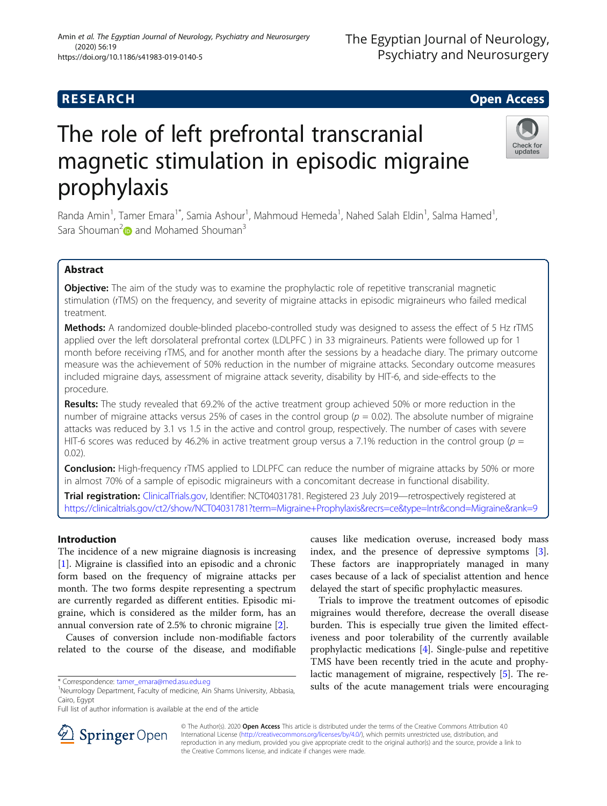# **RESEARCH CHILD CONTROL** CONTROL CONTROL CONTROL CONTROL CONTROL CONTROL CONTROL CONTROL CONTROL CONTROL CONTROL

# The role of left prefrontal transcranial magnetic stimulation in episodic migraine prophylaxis

Randa Amin<sup>1</sup>, Tamer Emara<sup>1\*</sup>, Samia Ashour<sup>1</sup>, Mahmoud Hemeda<sup>1</sup>, Nahed Salah Eldin<sup>1</sup>, Salma Hamed<sup>1</sup> , Sara Shouman<sup>2</sup> and Mohamed Shouman<sup>3</sup>

## Abstract

**Objective:** The aim of the study was to examine the prophylactic role of repetitive transcranial magnetic stimulation (rTMS) on the frequency, and severity of migraine attacks in episodic migraineurs who failed medical treatment.

Methods: A randomized double-blinded placebo-controlled study was designed to assess the effect of 5 Hz rTMS applied over the left dorsolateral prefrontal cortex (LDLPFC ) in 33 migraineurs. Patients were followed up for 1 month before receiving rTMS, and for another month after the sessions by a headache diary. The primary outcome measure was the achievement of 50% reduction in the number of migraine attacks. Secondary outcome measures included migraine days, assessment of migraine attack severity, disability by HIT-6, and side-effects to the procedure.

Results: The study revealed that 69.2% of the active treatment group achieved 50% or more reduction in the number of migraine attacks versus 25% of cases in the control group ( $p = 0.02$ ). The absolute number of migraine attacks was reduced by 3.1 vs 1.5 in the active and control group, respectively. The number of cases with severe HIT-6 scores was reduced by 46.2% in active treatment group versus a 7.1% reduction in the control group ( $p =$ 0.02).

**Conclusion:** High-frequency rTMS applied to LDLPFC can reduce the number of migraine attacks by 50% or more in almost 70% of a sample of episodic migraineurs with a concomitant decrease in functional disability.

Trial registration: [ClinicalTrials.gov,](http://clinicaltrials.gov) Identifier: NCT04031781. Registered 23 July 2019—retrospectively registered at <https://clinicaltrials.gov/ct2/show/NCT04031781?term=Migraine+Prophylaxis&recrs=ce&type=Intr&cond=Migraine&rank=9>

## Introduction

The incidence of a new migraine diagnosis is increasing [[1\]](#page-4-0). Migraine is classified into an episodic and a chronic form based on the frequency of migraine attacks per month. The two forms despite representing a spectrum are currently regarded as different entities. Episodic migraine, which is considered as the milder form, has an annual conversion rate of 2.5% to chronic migraine [[2\]](#page-4-0).

Causes of conversion include non-modifiable factors related to the course of the disease, and modifiable

causes like medication overuse, increased body mass index, and the presence of depressive symptoms [\[3](#page-4-0)]. These factors are inappropriately managed in many cases because of a lack of specialist attention and hence delayed the start of specific prophylactic measures.

Trials to improve the treatment outcomes of episodic migraines would therefore, decrease the overall disease burden. This is especially true given the limited effectiveness and poor tolerability of the currently available prophylactic medications [[4\]](#page-4-0). Single-pulse and repetitive TMS have been recently tried in the acute and prophylactic management of migraine, respectively [\[5](#page-4-0)]. The results of the acute management trials were encouraging

© The Author(s). 2020 Open Access This article is distributed under the terms of the Creative Commons Attribution 4.0 International License ([http://creativecommons.org/licenses/by/4.0/\)](http://creativecommons.org/licenses/by/4.0/), which permits unrestricted use, distribution, and reproduction in any medium, provided you give appropriate credit to the original author(s) and the source, provide a link to the Creative Commons license, and indicate if changes were made.





<sup>\*</sup> Correspondence: [tamer\\_emara@med.asu.edu.eg](mailto:tamer_emara@med.asu.edu.eg) <sup>1</sup>

<sup>&</sup>lt;sup>1</sup>Neurrology Department, Faculty of medicine, Ain Shams University, Abbasia, Cairo, Egypt

Full list of author information is available at the end of the article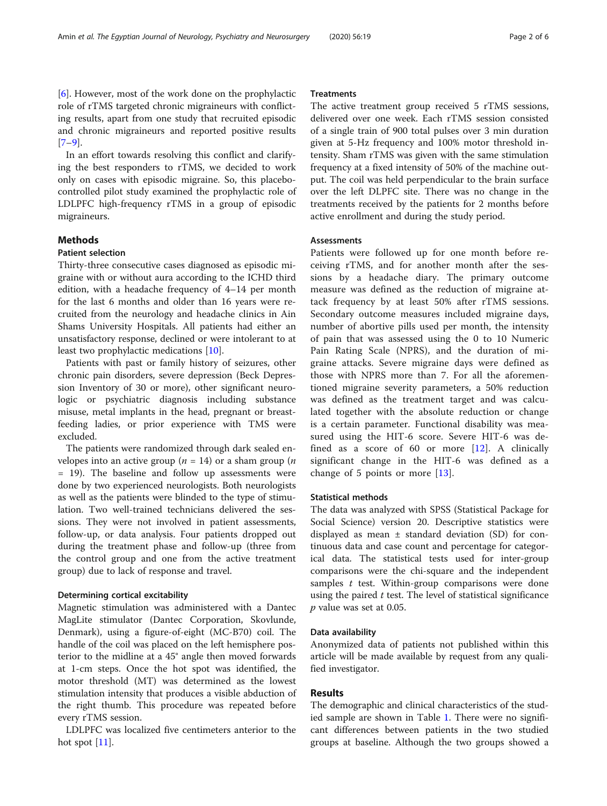[[6\]](#page-4-0). However, most of the work done on the prophylactic role of rTMS targeted chronic migraineurs with conflicting results, apart from one study that recruited episodic and chronic migraineurs and reported positive results [[7](#page-4-0)–[9\]](#page-4-0).

In an effort towards resolving this conflict and clarifying the best responders to rTMS, we decided to work only on cases with episodic migraine. So, this placebocontrolled pilot study examined the prophylactic role of LDLPFC high-frequency rTMS in a group of episodic migraineurs.

## Methods

### Patient selection

Thirty-three consecutive cases diagnosed as episodic migraine with or without aura according to the ICHD third edition, with a headache frequency of 4–14 per month for the last 6 months and older than 16 years were recruited from the neurology and headache clinics in Ain Shams University Hospitals. All patients had either an unsatisfactory response, declined or were intolerant to at least two prophylactic medications [[10](#page-4-0)].

Patients with past or family history of seizures, other chronic pain disorders, severe depression (Beck Depression Inventory of 30 or more), other significant neurologic or psychiatric diagnosis including substance misuse, metal implants in the head, pregnant or breastfeeding ladies, or prior experience with TMS were excluded.

The patients were randomized through dark sealed envelopes into an active group ( $n = 14$ ) or a sham group ( $n = 14$ ) = 19). The baseline and follow up assessments were done by two experienced neurologists. Both neurologists as well as the patients were blinded to the type of stimulation. Two well-trained technicians delivered the sessions. They were not involved in patient assessments, follow-up, or data analysis. Four patients dropped out during the treatment phase and follow-up (three from the control group and one from the active treatment group) due to lack of response and travel.

#### Determining cortical excitability

Magnetic stimulation was administered with a Dantec MagLite stimulator (Dantec Corporation, Skovlunde, Denmark), using a figure-of-eight (MC-B70) coil. The handle of the coil was placed on the left hemisphere posterior to the midline at a 45° angle then moved forwards at 1-cm steps. Once the hot spot was identified, the motor threshold (MT) was determined as the lowest stimulation intensity that produces a visible abduction of the right thumb. This procedure was repeated before every rTMS session.

LDLPFC was localized five centimeters anterior to the hot spot [[11](#page-4-0)].

## **Treatments**

The active treatment group received 5 rTMS sessions, delivered over one week. Each rTMS session consisted of a single train of 900 total pulses over 3 min duration given at 5-Hz frequency and 100% motor threshold intensity. Sham rTMS was given with the same stimulation frequency at a fixed intensity of 50% of the machine output. The coil was held perpendicular to the brain surface over the left DLPFC site. There was no change in the treatments received by the patients for 2 months before active enrollment and during the study period.

#### **Assessments**

Patients were followed up for one month before receiving rTMS, and for another month after the sessions by a headache diary. The primary outcome measure was defined as the reduction of migraine attack frequency by at least 50% after rTMS sessions. Secondary outcome measures included migraine days, number of abortive pills used per month, the intensity of pain that was assessed using the 0 to 10 Numeric Pain Rating Scale (NPRS), and the duration of migraine attacks. Severe migraine days were defined as those with NPRS more than 7. For all the aforementioned migraine severity parameters, a 50% reduction was defined as the treatment target and was calculated together with the absolute reduction or change is a certain parameter. Functional disability was measured using the HIT-6 score. Severe HIT-6 was defined as a score of 60 or more  $[12]$  $[12]$  $[12]$ . A clinically significant change in the HIT-6 was defined as a change of 5 points or more [\[13](#page-4-0)].

#### Statistical methods

The data was analyzed with SPSS (Statistical Package for Social Science) version 20. Descriptive statistics were displayed as mean  $\pm$  standard deviation (SD) for continuous data and case count and percentage for categorical data. The statistical tests used for inter-group comparisons were the chi-square and the independent samples  $t$  test. Within-group comparisons were done using the paired  $t$  test. The level of statistical significance  $p$  value was set at 0.05.

#### Data availability

Anonymized data of patients not published within this article will be made available by request from any qualified investigator.

## Results

The demographic and clinical characteristics of the studied sample are shown in Table [1.](#page-2-0) There were no significant differences between patients in the two studied groups at baseline. Although the two groups showed a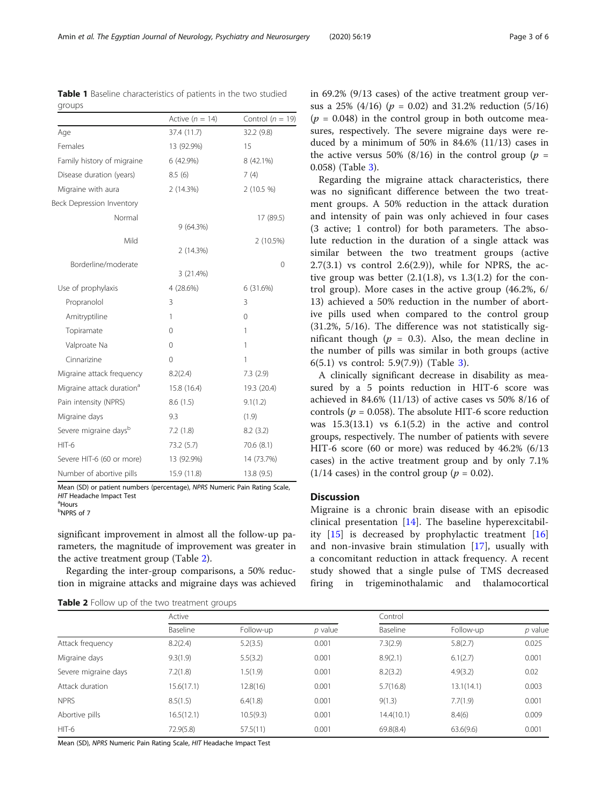in 69.2% (9/13 cases) of the active treatment group versus a 25% (4/16) ( $p = 0.02$ ) and 31.2% reduction (5/16)  $(p = 0.048)$  in the control group in both outcome measures, respectively. The severe migraine days were reduced by a minimum of 50% in 84.6% (11/13) cases in the active versus 50% (8/16) in the control group ( $p =$ 0.058) (Table [3\)](#page-3-0).

Regarding the migraine attack characteristics, there was no significant difference between the two treatment groups. A 50% reduction in the attack duration and intensity of pain was only achieved in four cases (3 active; 1 control) for both parameters. The absolute reduction in the duration of a single attack was similar between the two treatment groups (active  $2.7(3.1)$  vs control  $2.6(2.9)$ ), while for NPRS, the active group was better  $(2.1(1.8), \text{ vs } 1.3(1.2) \text{ for the con-}$ trol group). More cases in the active group (46.2%, 6/ 13) achieved a 50% reduction in the number of abortive pills used when compared to the control group (31.2%, 5/16). The difference was not statistically sigigh ( $p = 0.3$ ). Also, the mean decline in of pills was similar in both groups (active  $(1.5.9(7.9))$  (Table [3\)](#page-3-0).

significant decrease in disability as mea-5 points reduction in HIT-6 score was 4.6% (11/13) of active cases vs 50% 8/16 of 0.058). The absolute HIT-6 score reduction 1) vs  $6.1(5.2)$  in the active and control ctively. The number of patients with severe  $(60$  or more) was reduced by  $46.2\%$   $(6/13)$ active treatment group and by only 7.1% in the control group ( $p = 0.02$ ).

a chronic brain disease with an episodic entation  $[14]$  $[14]$ . The baseline hyperexcitabildecreased by prophylactic treatment  $[16]$  $[16]$ asive brain stimulation  $[17]$  $[17]$ , usually with nt reduction in attack frequency. A recent d that a single pulse of TMS decreased trigeminothalamic and thalamocortical

<span id="page-2-0"></span>

|  | Amin et al. The Egyptian Journal of Neurology, Psychiatry and Neurosurgery |  | 12020130.19 |  |
|--|----------------------------------------------------------------------------|--|-------------|--|
|  |                                                                            |  |             |  |
|  |                                                                            |  |             |  |

Active  $(n = 14)$  Control  $(n = 19)$ 

17 (89.5)

2 (10.5%)

 $\Omega$ 

|                                                                                                                                                                                                                                                                             | Baseline    | Follow-up   | $p$ value                                                                                         |
|-----------------------------------------------------------------------------------------------------------------------------------------------------------------------------------------------------------------------------------------------------------------------------|-------------|-------------|---------------------------------------------------------------------------------------------------|
|                                                                                                                                                                                                                                                                             | Active      |             |                                                                                                   |
| <b>Table 2</b> Follow up of the two treatment groups                                                                                                                                                                                                                        |             |             |                                                                                                   |
| significant improvement in almost all the follow-up pa-<br>rameters, the magnitude of improvement was greater in<br>the active treatment group (Table 2).<br>Regarding the inter-group comparisons, a 50% reduc-<br>tion in migraine attacks and migraine days was achieved |             |             | clinical prese<br>ity $[15]$ is d<br>and non-inva<br>a concomitar<br>study showed<br>firing<br>in |
| Mean (SD) or patient numbers (percentage), NPRS Numeric Pain Rating Scale,<br>HIT Headache Impact Test<br><sup>a</sup> Hours<br><sup>b</sup> NPRS of 7                                                                                                                      |             |             | <b>Discussion</b><br>Migraine is a                                                                |
| Number of abortive pills                                                                                                                                                                                                                                                    | 15.9 (11.8) | 13.8 (9.5)  | $(1/14 \text{ cases})$ is                                                                         |
| Severe HIT-6 (60 or more)                                                                                                                                                                                                                                                   | 13 (92.9%)  | 14 (73.7%)  | cases) in the                                                                                     |
| $HIT-6$                                                                                                                                                                                                                                                                     | 73.2 (5.7)  | 70.6 (8.1)  | HIT-6 score                                                                                       |
| Severe migraine daysb                                                                                                                                                                                                                                                       | 7.2(1.8)    | 8.2(3.2)    | groups, respe                                                                                     |
| Migraine days                                                                                                                                                                                                                                                               | 9.3         | (1.9)       | controls ( $p =$<br>was 15.3(13.                                                                  |
| Pain intensity (NPRS)                                                                                                                                                                                                                                                       | 8.6(1.5)    | 9.1(1.2)    | achieved in 8                                                                                     |
| Migraine attack duration <sup>a</sup>                                                                                                                                                                                                                                       | 15.8 (16.4) | 19.3 (20.4) | sured by a                                                                                        |
| Migraine attack frequency                                                                                                                                                                                                                                                   | 8.2(2.4)    | 7.3(2.9)    | A clinically                                                                                      |
| Cinnarizine                                                                                                                                                                                                                                                                 | $\Omega$    | 1           | $6(5.1)$ vs con                                                                                   |
| Valproate Na                                                                                                                                                                                                                                                                | $\Omega$    | 1           | nificant thou<br>the number                                                                       |
| Topiramate                                                                                                                                                                                                                                                                  | $\Omega$    | 1           | (51.270, 5/10)                                                                                    |

| Table 1 Baseline characteristics of patients in the two studied |  |
|-----------------------------------------------------------------|--|
| groups                                                          |  |

9 (64.3%)

2 (14.3%)

3 (21.4%)

Use of prophylaxis 4 (28.6%) 6 (31.6%) Propranolol 3 3 3 Amitryptiline 1 0

Age 37.4 (11.7) 32.2 (9.8) Females 13 (92.9%) 15 Family history of migraine  $6(42.9%)$  8 (42.1%) Disease duration (years)  $8.5(6)$   $7(4)$ Migraine with aura 2 (14.3%) 2 (10.5 %)

Beck Depression Inventory

Borderline/moderate

Normal

Mild

Mean (SD), NPRS Numeric Pain Rating Scale, HIT Headache Impact Test

|                      | Active     |           |           | Control    |            |           |
|----------------------|------------|-----------|-----------|------------|------------|-----------|
|                      | Baseline   | Follow-up | $p$ value | Baseline   | Follow-up  | $p$ value |
| Attack frequency     | 8.2(2.4)   | 5.2(3.5)  | 0.001     | 7.3(2.9)   | 5.8(2.7)   | 0.025     |
| Migraine days        | 9.3(1.9)   | 5.5(3.2)  | 0.001     | 8.9(2.1)   | 6.1(2.7)   | 0.001     |
| Severe migraine days | 7.2(1.8)   | 1.5(1.9)  | 0.001     | 8.2(3.2)   | 4.9(3.2)   | 0.02      |
| Attack duration      | 15.6(17.1) | 12.8(16)  | 0.001     | 5.7(16.8)  | 13.1(14.1) | 0.003     |
| <b>NPRS</b>          | 8.5(1.5)   | 6.4(1.8)  | 0.001     | 9(1.3)     | 7.7(1.9)   | 0.001     |
| Abortive pills       | 16.5(12.1) | 10.5(9.3) | 0.001     | 14.4(10.1) | 8.4(6)     | 0.009     |
| HIT-6                | 72.9(5.8)  | 57.5(11)  | 0.001     | 69.8(8.4)  | 63.6(9.6)  | 0.001     |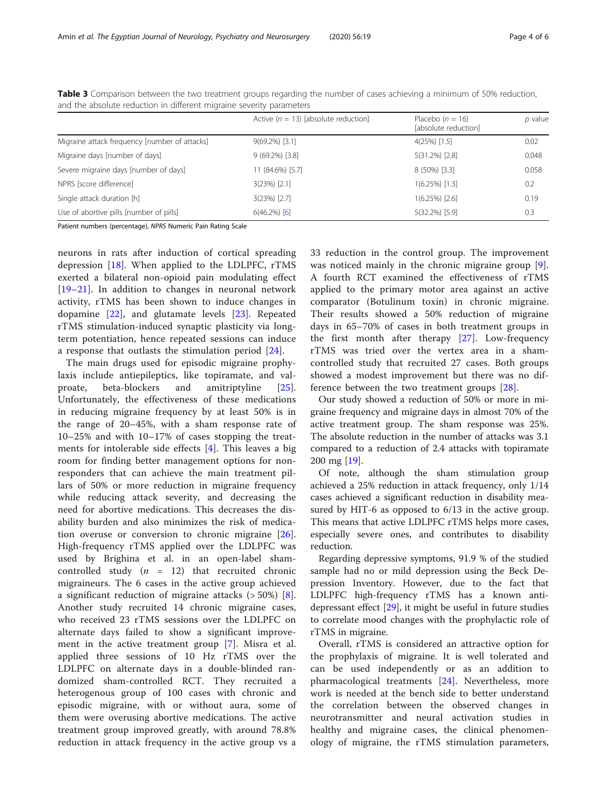|                                               | Active ( $n = 13$ ) [absolute reduction] | Placebo $(n = 16)$<br>[absolute reduction] | $p$ value |
|-----------------------------------------------|------------------------------------------|--------------------------------------------|-----------|
| Migraine attack frequency [number of attacks] | $9(69.2\%)$ [3.1]                        | $4(25%)$ [1.5]                             | 0.02      |
| Migraine days [number of days]                | $9(69.2\%)$ [3.8]                        | $5(31.2\%)$ [2.8]                          | 0.048     |
| Severe migraine days [number of days]         | 11 (84.6%) [5.7]                         | 8 (50%) [3.3]                              | 0.058     |
| NPRS [score difference]                       | $3(23%)$ [2.1]                           | $1(6.25\%)$ [1.3]                          | 0.2       |
| Single attack duration [h]                    | $3(23%)$ [2.7]                           | $1(6.25\%)$ [2.6]                          | 0.19      |
| Use of abortive pills [number of pills]       | $6(46.2\%)$ [6]                          | 5(32.2%) [5.9]                             | 0.3       |

<span id="page-3-0"></span>Table 3 Comparison between the two treatment groups regarding the number of cases achieving a minimum of 50% reduction, and the absolute reduction in different migraine severity parameters

Patient numbers (percentage), NPRS Numeric Pain Rating Scale

neurons in rats after induction of cortical spreading depression [[18\]](#page-4-0). When applied to the LDLPFC, rTMS exerted a bilateral non-opioid pain modulating effect [[19](#page-4-0)–[21\]](#page-4-0). In addition to changes in neuronal network activity, rTMS has been shown to induce changes in dopamine [[22\]](#page-4-0), and glutamate levels [[23\]](#page-4-0). Repeated rTMS stimulation-induced synaptic plasticity via longterm potentiation, hence repeated sessions can induce a response that outlasts the stimulation period [[24\]](#page-4-0).

The main drugs used for episodic migraine prophylaxis include antiepileptics, like topiramate, and valproate, beta-blockers and amitriptyline [\[25](#page-4-0)]. Unfortunately, the effectiveness of these medications in reducing migraine frequency by at least 50% is in the range of 20–45%, with a sham response rate of 10–25% and with 10–17% of cases stopping the treatments for intolerable side effects [\[4](#page-4-0)]. This leaves a big room for finding better management options for nonresponders that can achieve the main treatment pillars of 50% or more reduction in migraine frequency while reducing attack severity, and decreasing the need for abortive medications. This decreases the disability burden and also minimizes the risk of medication overuse or conversion to chronic migraine [\[26](#page-4-0)]. High-frequency rTMS applied over the LDLPFC was used by Brighina et al. in an open-label shamcontrolled study  $(n = 12)$  that recruited chronic migraineurs. The 6 cases in the active group achieved a significant reduction of migraine attacks  $($  > 50%)  $[8]$  $[8]$ . Another study recruited 14 chronic migraine cases, who received 23 rTMS sessions over the LDLPFC on alternate days failed to show a significant improvement in the active treatment group [\[7](#page-4-0)]. Misra et al. applied three sessions of 10 Hz rTMS over the LDLPFC on alternate days in a double-blinded randomized sham-controlled RCT. They recruited a heterogenous group of 100 cases with chronic and episodic migraine, with or without aura, some of them were overusing abortive medications. The active treatment group improved greatly, with around 78.8% reduction in attack frequency in the active group vs a 33 reduction in the control group. The improvement was noticed mainly in the chronic migraine group [\[9](#page-4-0)]. A fourth RCT examined the effectiveness of rTMS applied to the primary motor area against an active comparator (Botulinum toxin) in chronic migraine. Their results showed a 50% reduction of migraine days in 65–70% of cases in both treatment groups in the first month after therapy [\[27](#page-5-0)]. Low-frequency rTMS was tried over the vertex area in a shamcontrolled study that recruited 27 cases. Both groups showed a modest improvement but there was no difference between the two treatment groups [[28\]](#page-5-0).

Our study showed a reduction of 50% or more in migraine frequency and migraine days in almost 70% of the active treatment group. The sham response was 25%. The absolute reduction in the number of attacks was 3.1 compared to a reduction of 2.4 attacks with topiramate 200 mg [\[19](#page-4-0)].

Of note, although the sham stimulation group achieved a 25% reduction in attack frequency, only 1/14 cases achieved a significant reduction in disability measured by HIT-6 as opposed to 6/13 in the active group. This means that active LDLPFC rTMS helps more cases, especially severe ones, and contributes to disability reduction.

Regarding depressive symptoms, 91.9 % of the studied sample had no or mild depression using the Beck Depression Inventory. However, due to the fact that LDLPFC high-frequency rTMS has a known antidepressant effect [\[29\]](#page-5-0), it might be useful in future studies to correlate mood changes with the prophylactic role of rTMS in migraine.

Overall, rTMS is considered an attractive option for the prophylaxis of migraine. It is well tolerated and can be used independently or as an addition to pharmacological treatments [[24\]](#page-4-0). Nevertheless, more work is needed at the bench side to better understand the correlation between the observed changes in neurotransmitter and neural activation studies in healthy and migraine cases, the clinical phenomenology of migraine, the rTMS stimulation parameters,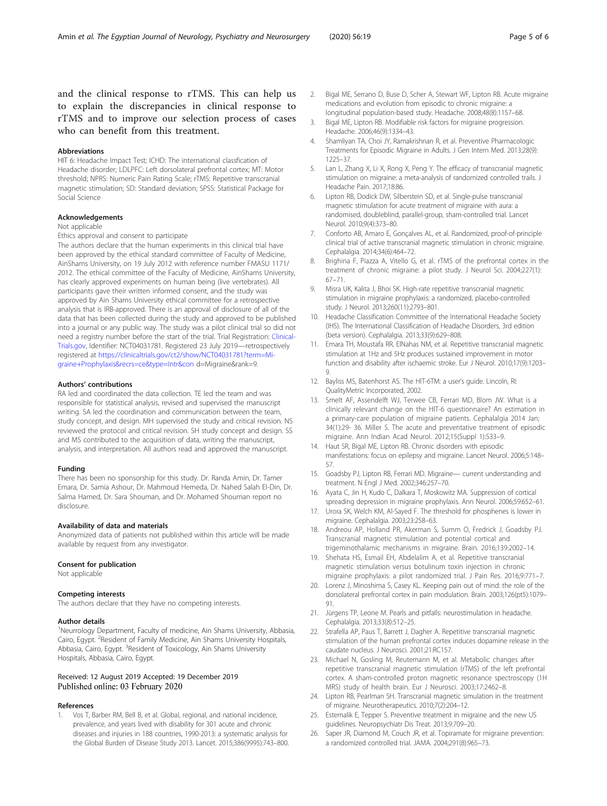<span id="page-4-0"></span>and the clinical response to rTMS. This can help us to explain the discrepancies in clinical response to rTMS and to improve our selection process of cases who can benefit from this treatment.

#### Abbreviations

HIT 6: Headache Impact Test; ICHD: The international classfication of Headache disorder; LDLPFC: Left dorsolateral prefrontal cortex; MT: Motor threshold; NPRS: Numeric Pain Rating Scale; rTMS: Repetitive transcranial magnetic stimulation; SD: Standard deviation; SPSS: Statistical Package for Social Science

#### Acknowledgements

Not applicable

Ethics approval and consent to participate

The authors declare that the human experiments in this clinical trial have been approved by the ethical standard committee of Faculty of Medicine, AinShams University, on 19 July 2012 with reference number FMASU 1171/ 2012. The ethical committee of the Faculty of Medicine, AinShams University, has clearly approved experiments on human being (live vertebrates). All participants gave their written informed consent, and the study was approved by Ain Shams University ethical committee for a retrospective analysis that is IRB-approved. There is an approval of disclosure of all of the data that has been collected during the study and approved to be published into a journal or any public way. The study was a pilot clinical trial so did not need a registry number before the start of the trial. Trial Registration: [Clinical-](http://clinicaltrials.gov)[Trials.gov](http://clinicaltrials.gov), Identifier: NCT04031781. Registered 23 July 2019—retrospectively registered at [https://clinicaltrials.gov/ct2/show/NCT04031781?term=Mi](https://clinicaltrials.gov/ct2/show/NCT04031781?term=Migraine+Prophylaxis&recrs=ce&type=Intr&con)[graine+Prophylaxis&recrs=ce&type=Intr&con](https://clinicaltrials.gov/ct2/show/NCT04031781?term=Migraine+Prophylaxis&recrs=ce&type=Intr&con) d=Migraine&rank=9.

#### Authors' contributions

RA led and coordinated the data collection. TE led the team and was responsible for statistical analysis, revised and supervised the manuscript writing. SA led the coordination and communication between the team, study concept, and design. MH supervised the study and critical revision. NS reviewed the protocol and critical revision. SH study concept and design. SS and MS contributed to the acquisition of data, writing the manuscript, analysis, and interpretation. All authors read and approved the manuscript.

#### Funding

There has been no sponsorship for this study. Dr. Randa Amin, Dr. Tamer Emara, Dr. Samia Ashour, Dr. Mahmoud Hemeda, Dr. Nahed Salah El-Din, Dr. Salma Hamed, Dr. Sara Shouman, and Dr. Mohamed Shouman report no disclosure.

#### Availability of data and materials

Anonymized data of patients not published within this article will be made available by request from any investigator.

#### Consent for publication

Not applicable

#### Competing interests

The authors declare that they have no competing interests.

#### Author details

<sup>1</sup>Neurrology Department, Faculty of medicine, Ain Shams University, Abbasia, Cairo, Egypt. <sup>2</sup>Resident of Family Medicine, Ain Shams University Hospitals, Abbasia, Cairo, Egypt. <sup>3</sup>Resident of Toxicology, Ain Shams University Hospitals, Abbasia, Cairo, Egypt.

#### Received: 12 August 2019 Accepted: 19 December 2019 Published online: 03 February 2020

#### References

1. Vos T, Barber RM, Bell B, et al. Global, regional, and national incidence, prevalence, and years lived with disability for 301 acute and chronic diseases and injuries in 188 countries, 1990-2013: a systematic analysis for the Global Burden of Disease Study 2013. Lancet. 2015;386(9995):743–800.

- 2. Bigal ME, Serrano D, Buse D, Scher A, Stewart WF, Lipton RB. Acute migraine medications and evolution from episodic to chronic migraine: a longitudinal population-based study. Headache. 2008;48(8):1157–68.
- 3. Bigal ME, Lipton RB. Modifiable risk factors for migraine progression. Headache. 2006;46(9):1334–43.
- 4. Shamliyan TA, Choi JY, Ramakrishnan R, et al. Preventive Pharmacologic Treatments for Episodic Migraine in Adults. J Gen Intern Med. 2013;28(9): 1225–37.
- 5. Lan L, Zhang X, Li X, Rong X, Peng Y. The efficacy of transcranial magnetic stimulation on migraine: a meta-analysis of randomized controlled trails. J Headache Pain. 2017;18:86.
- 6. Lipton RB, Dodick DW, Silberstein SD, et al. Single-pulse transcranial magnetic stimulation for acute treatment of migraine with aura: a randomised, doubleblind, parallel-group, sham-controlled trial. Lancet Neurol. 2010;9(4):373–80.
- 7. Conforto AB, Amaro E, Gonçalves AL, et al. Randomized, proof-of-principle clinical trial of active transcranial magnetic stimulation in chronic migraine. Cephalalgia. 2014;34(6):464–72.
- 8. Brighina F, Piazza A, Vitello G, et al. rTMS of the prefrontal cortex in the treatment of chronic migraine: a pilot study. J Neurol Sci. 2004;227(1): 67–71.
- 9. Misra UK, Kalita J, Bhoi SK. High-rate repetitive transcranial magnetic stimulation in migraine prophylaxis: a randomized, placebo-controlled study. J Neurol. 2013;260(11):2793–801.
- 10. Headache Classification Committee of the International Headache Society (IHS). The International Classification of Headache Disorders, 3rd edition (beta version). Cephalalgia. 2013;33(9):629–808.
- 11. Emara TH, Moustafa RR, ElNahas NM, et al. Repetitive transcranial magnetic stimulation at 1Hz and 5Hz produces sustained improvement in motor function and disability after ischaemic stroke. Eur J Neurol. 2010;17(9):1203– 9.
- 12. Bayliss MS, Batenhorst AS. The HIT-6TM: a user's guide. Lincoln, RI: QualityMetric Incorporated, 2002.
- 13. Smelt AF, Assendelft WJ, Terwee CB, Ferrari MD, Blom JW. What is a clinically relevant change on the HIT-6 questionnaire? An estimation in a primary-care population of migraine patients. Cephalalgia 2014 Jan; 34(1):29- 36. Miller S. The acute and preventative treatment of episodic migraine. Ann Indian Acad Neurol. 2012;15(Suppl 1):S33–9.
- 14. Haut SR, Bigal ME, Lipton RB. Chronic disorders with episodic manifestations: focus on epilepsy and migraine. Lancet Neurol. 2006;5:148– 57.
- 15. Goadsby PJ, Lipton RB, Ferrari MD. Migraine— current understanding and treatment. N Engl J Med. 2002;346:257–70.
- 16. Ayata C, Jin H, Kudo C, Dalkara T, Moskowitz MA. Suppression of cortical spreading depression in migraine prophylaxis. Ann Neurol. 2006;59:652–61.
- 17. Urora SK, Welch KM, Al-Sayed F. The threshold for phosphenes is lower in migraine. Cephalalgia. 2003;23:258–63.
- 18. Andreou AP, Holland PR, Akerman S, Summ O, Fredrick J, Goadsby PJ. Transcranial magnetic stimulation and potential cortical and trigeminothalamic mechanisms in migraine. Brain. 2016;139:2002–14.
- 19. Shehata HS, Esmail EH, Abdelalim A, et al. Repetitive transcranial magnetic stimulation versus botulinum toxin injection in chronic migraine prophylaxis: a pilot randomized trial. J Pain Res. 2016;9:771–7.
- 20. Lorenz J, Minoshima S, Casey KL. Keeping pain out of mind: the role of the dorsolateral prefrontal cortex in pain modulation. Brain. 2003;126(pt5):1079– 91.
- 21. Jürgens TP, Leone M. Pearls and pitfalls: neurostimulation in headache. Cephalalgia. 2013;33(8):512–25.
- 22. Strafella AP, Paus T, Barrett J, Dagher A. Repetitive transcranial magnetic stimulation of the human prefrontal cortex induces dopamine release in the caudate nucleus. J Neurosci. 2001;21:RC157.
- 23. Michael N, Gosling M, Reutemann M, et al. Metabolic changes after repetitive transcranial magnetic stimulation (rTMS) of the left prefrontal cortex. A sham-controlled proton magnetic resonance spectroscopy (1H MRS) study of health brain. Eur J Neurosci. 2003;17:2462–8.
- 24. Lipton RB, Pearlman SH. Transcranial magnetic simulation in the treatment of migraine. Neurotherapeutics. 2010;7(2):204–12.
- 25. Estemalik E, Tepper S. Preventive treatment in migraine and the new US guidelines. Neuropsychiatr Dis Treat. 2013;9:709–20.
- 26. Saper JR, Diamond M, Couch JR, et al. Topiramate for migraine prevention: a randomized controlled trial. JAMA. 2004;291(8):965–73.